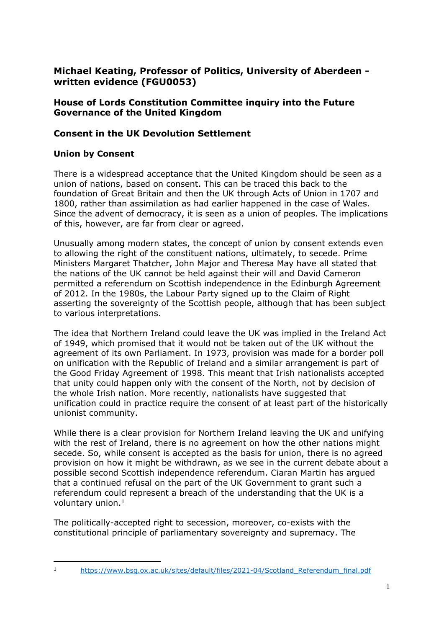# **Michael Keating, Professor of Politics, University of Aberdeen written evidence (FGU0053)**

### **House of Lords Constitution Committee inquiry into the Future Governance of the United Kingdom**

## **Consent in the UK Devolution Settlement**

### **Union by Consent**

There is a widespread acceptance that the United Kingdom should be seen as a union of nations, based on consent. This can be traced this back to the foundation of Great Britain and then the UK through Acts of Union in 1707 and 1800, rather than assimilation as had earlier happened in the case of Wales. Since the advent of democracy, it is seen as a union of peoples. The implications of this, however, are far from clear or agreed.

Unusually among modern states, the concept of union by consent extends even to allowing the right of the constituent nations, ultimately, to secede. Prime Ministers Margaret Thatcher, John Major and Theresa May have all stated that the nations of the UK cannot be held against their will and David Cameron permitted a referendum on Scottish independence in the Edinburgh Agreement of 2012. In the 1980s, the Labour Party signed up to the Claim of Right asserting the sovereignty of the Scottish people, although that has been subject to various interpretations.

The idea that Northern Ireland could leave the UK was implied in the Ireland Act of 1949, which promised that it would not be taken out of the UK without the agreement of its own Parliament. In 1973, provision was made for a border poll on unification with the Republic of Ireland and a similar arrangement is part of the Good Friday Agreement of 1998. This meant that Irish nationalists accepted that unity could happen only with the consent of the North, not by decision of the whole Irish nation. More recently, nationalists have suggested that unification could in practice require the consent of at least part of the historically unionist community.

While there is a clear provision for Northern Ireland leaving the UK and unifying with the rest of Ireland, there is no agreement on how the other nations might secede. So, while consent is accepted as the basis for union, there is no agreed provision on how it might be withdrawn, as we see in the current debate about a possible second Scottish independence referendum. Ciaran Martin has argued that a continued refusal on the part of the UK Government to grant such a referendum could represent a breach of the understanding that the UK is a voluntary union.<sup>1</sup>

The politically-accepted right to secession, moreover, co-exists with the constitutional principle of parliamentary sovereignty and supremacy. The

<sup>1</sup> https://www.bsg.ox.ac.uk/sites/default/files/2021-04/Scotland Referendum final.pdf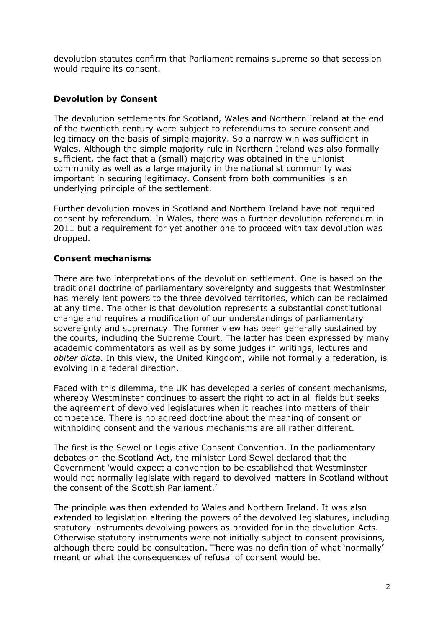devolution statutes confirm that Parliament remains supreme so that secession would require its consent.

### **Devolution by Consent**

The devolution settlements for Scotland, Wales and Northern Ireland at the end of the twentieth century were subject to referendums to secure consent and legitimacy on the basis of simple majority. So a narrow win was sufficient in Wales. Although the simple majority rule in Northern Ireland was also formally sufficient, the fact that a (small) majority was obtained in the unionist community as well as a large majority in the nationalist community was important in securing legitimacy. Consent from both communities is an underlying principle of the settlement.

Further devolution moves in Scotland and Northern Ireland have not required consent by referendum. In Wales, there was a further devolution referendum in 2011 but a requirement for yet another one to proceed with tax devolution was dropped.

#### **Consent mechanisms**

There are two interpretations of the devolution settlement. One is based on the traditional doctrine of parliamentary sovereignty and suggests that Westminster has merely lent powers to the three devolved territories, which can be reclaimed at any time. The other is that devolution represents a substantial constitutional change and requires a modification of our understandings of parliamentary sovereignty and supremacy. The former view has been generally sustained by the courts, including the Supreme Court. The latter has been expressed by many academic commentators as well as by some judges in writings, lectures and *obiter dicta*. In this view, the United Kingdom, while not formally a federation, is evolving in a federal direction.

Faced with this dilemma, the UK has developed a series of consent mechanisms, whereby Westminster continues to assert the right to act in all fields but seeks the agreement of devolved legislatures when it reaches into matters of their competence. There is no agreed doctrine about the meaning of consent or withholding consent and the various mechanisms are all rather different.

The first is the Sewel or Legislative Consent Convention. In the parliamentary debates on the Scotland Act, the minister Lord Sewel declared that the Government 'would expect a convention to be established that Westminster would not normally legislate with regard to devolved matters in Scotland without the consent of the Scottish Parliament.'

The principle was then extended to Wales and Northern Ireland. It was also extended to legislation altering the powers of the devolved legislatures, including statutory instruments devolving powers as provided for in the devolution Acts. Otherwise statutory instruments were not initially subject to consent provisions, although there could be consultation. There was no definition of what 'normally' meant or what the consequences of refusal of consent would be.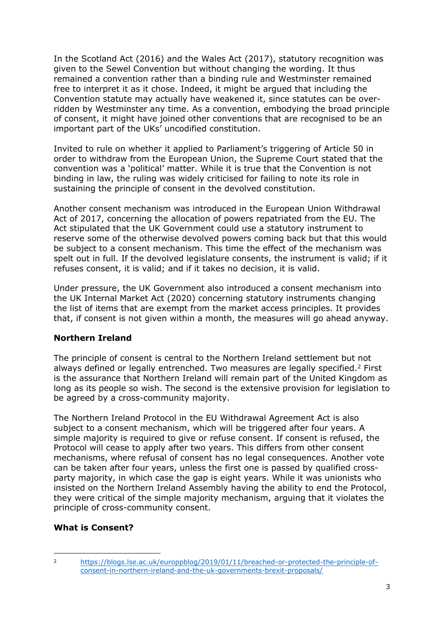In the Scotland Act (2016) and the Wales Act (2017), statutory recognition was given to the Sewel Convention but without changing the wording. It thus remained a convention rather than a binding rule and Westminster remained free to interpret it as it chose. Indeed, it might be argued that including the Convention statute may actually have weakened it, since statutes can be overridden by Westminster any time. As a convention, embodying the broad principle of consent, it might have joined other conventions that are recognised to be an important part of the UKs' uncodified constitution.

Invited to rule on whether it applied to Parliament's triggering of Article 50 in order to withdraw from the European Union, the Supreme Court stated that the convention was a 'political' matter. While it is true that the Convention is not binding in law, the ruling was widely criticised for failing to note its role in sustaining the principle of consent in the devolved constitution.

Another consent mechanism was introduced in the European Union Withdrawal Act of 2017, concerning the allocation of powers repatriated from the EU. The Act stipulated that the UK Government could use a statutory instrument to reserve some of the otherwise devolved powers coming back but that this would be subject to a consent mechanism. This time the effect of the mechanism was spelt out in full. If the devolved legislature consents, the instrument is valid; if it refuses consent, it is valid; and if it takes no decision, it is valid.

Under pressure, the UK Government also introduced a consent mechanism into the UK Internal Market Act (2020) concerning statutory instruments changing the list of items that are exempt from the market access principles. It provides that, if consent is not given within a month, the measures will go ahead anyway.

#### **Northern Ireland**

The principle of consent is central to the Northern Ireland settlement but not always defined or legally entrenched. Two measures are legally specified.<sup>2</sup> First is the assurance that Northern Ireland will remain part of the United Kingdom as long as its people so wish. The second is the extensive provision for legislation to be agreed by a cross-community majority.

The Northern Ireland Protocol in the EU Withdrawal Agreement Act is also subject to a consent mechanism, which will be triggered after four years. A simple majority is required to give or refuse consent. If consent is refused, the Protocol will cease to apply after two years. This differs from other consent mechanisms, where refusal of consent has no legal consequences. Another vote can be taken after four years, unless the first one is passed by qualified crossparty majority, in which case the gap is eight years. While it was unionists who insisted on the Northern Ireland Assembly having the ability to end the Protocol, they were critical of the simple majority mechanism, arguing that it violates the principle of cross-community consent.

#### **What is Consent?**

<sup>2</sup> [https://blogs.lse.ac.uk/europpblog/2019/01/11/breached-or-protected-the-principle-of](https://blogs.lse.ac.uk/europpblog/2019/01/11/breached-or-protected-the-principle-of-consent-in-northern-ireland-and-the-uk-governments-brexit-proposals/)[consent-in-northern-ireland-and-the-uk-governments-brexit-proposals/](https://blogs.lse.ac.uk/europpblog/2019/01/11/breached-or-protected-the-principle-of-consent-in-northern-ireland-and-the-uk-governments-brexit-proposals/)